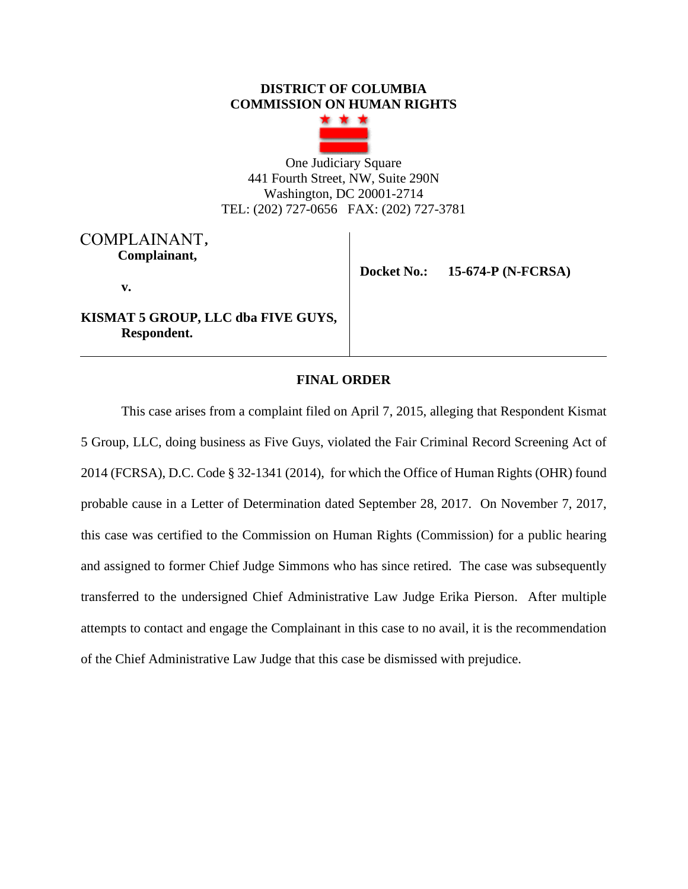### **DISTRICT OF COLUMBIA COMMISSION ON HUMAN RIGHTS**



One Judiciary Square 441 Fourth Street, NW, Suite 290N Washington, DC 20001-2714 TEL: (202) 727-0656 FAX: (202) 727-3781

# **,**  COMPLAINANT **Complainant,**

 **Docket No.: 15-674-P (N-FCRSA)**

**v.** 

**KISMAT 5 GROUP, LLC dba FIVE GUYS, Respondent.** 

# **FINAL ORDER**

This case arises from a complaint filed on April 7, 2015, alleging that Respondent Kismat 5 Group, LLC, doing business as Five Guys, violated the Fair Criminal Record Screening Act of 2014 (FCRSA), D.C. Code § 32-1341 (2014), for which the Office of Human Rights (OHR) found probable cause in a Letter of Determination dated September 28, 2017. On November 7, 2017, this case was certified to the Commission on Human Rights (Commission) for a public hearing and assigned to former Chief Judge Simmons who has since retired. The case was subsequently transferred to the undersigned Chief Administrative Law Judge Erika Pierson. After multiple attempts to contact and engage the Complainant in this case to no avail, it is the recommendation of the Chief Administrative Law Judge that this case be dismissed with prejudice.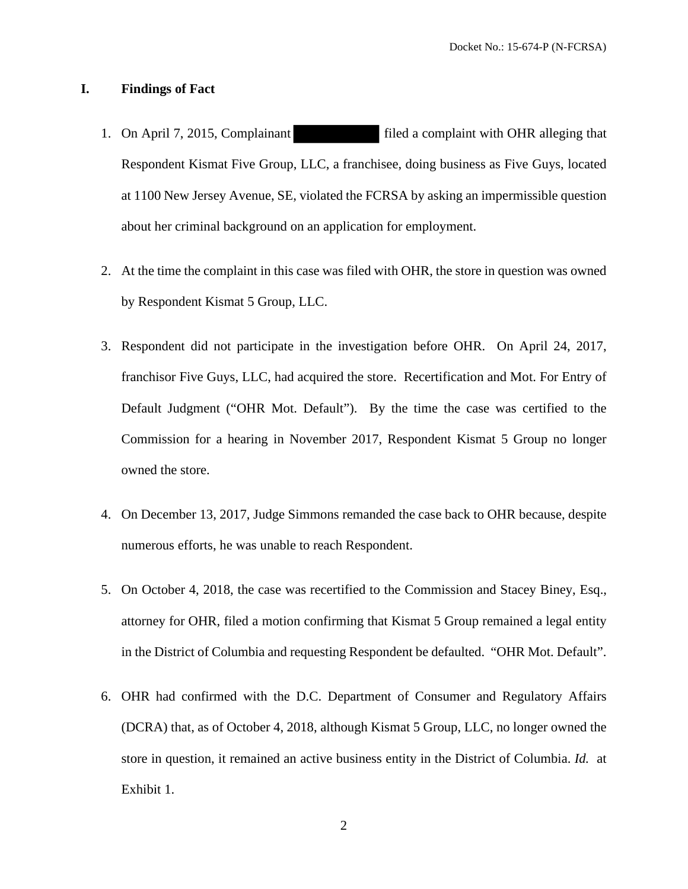#### **I. Findings of Fact**

- 1. On April 7, 2015, Complainant filed a complaint with OHR alleging that Respondent Kismat Five Group, LLC, a franchisee, doing business as Five Guys, located at 1100 New Jersey Avenue, SE, violated the FCRSA by asking an impermissible question about her criminal background on an application for employment.
- 2. At the time the complaint in this case was filed with OHR, the store in question was owned by Respondent Kismat 5 Group, LLC.
- 3. Respondent did not participate in the investigation before OHR. On April 24, 2017, franchisor Five Guys, LLC, had acquired the store. Recertification and Mot. For Entry of Default Judgment ("OHR Mot. Default"). By the time the case was certified to the Commission for a hearing in November 2017, Respondent Kismat 5 Group no longer owned the store.
- 4. On December 13, 2017, Judge Simmons remanded the case back to OHR because, despite numerous efforts, he was unable to reach Respondent.
- 5. On October 4, 2018, the case was recertified to the Commission and Stacey Biney, Esq., attorney for OHR, filed a motion confirming that Kismat 5 Group remained a legal entity in the District of Columbia and requesting Respondent be defaulted. "OHR Mot. Default".
- 6. OHR had confirmed with the D.C. Department of Consumer and Regulatory Affairs (DCRA) that, as of October 4, 2018, although Kismat 5 Group, LLC, no longer owned the store in question, it remained an active business entity in the District of Columbia. *Id.* at Exhibit 1.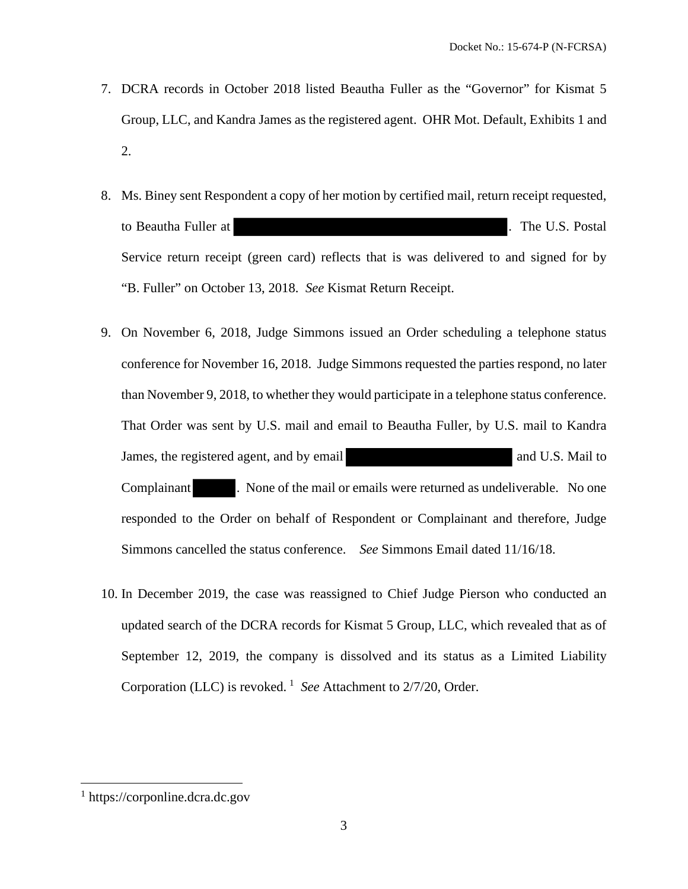- 7. DCRA records in October 2018 listed Beautha Fuller as the "Governor" for Kismat 5 Group, LLC, and Kandra James as the registered agent. OHR Mot. Default, Exhibits 1 and 2.
- 8. Ms. Biney sent Respondent a copy of her motion by certified mail, return receipt requested, to Beautha Fuller at . The U.S. Postal Service return receipt (green card) reflects that is was delivered to and signed for by "B. Fuller" on October 13, 2018. *See* Kismat Return Receipt.
- 9. On November 6, 2018, Judge Simmons issued an Order scheduling a telephone status conference for November 16, 2018. Judge Simmons requested the parties respond, no later than November 9, 2018, to whether they would participate in a telephone status conference. That Order was sent by U.S. mail and email to Beautha Fuller, by U.S. mail to Kandra James, the registered agent, and by email and U.S. Mail to Complainant . None of the mail or emails were returned as undeliverable. No one responded to the Order on behalf of Respondent or Complainant and therefore, Judge Simmons cancelled the status conference. *See* Simmons Email dated 11/16/18.
- 10. In December 2019, the case was reassigned to Chief Judge Pierson who conducted an updated search of the DCRA records for Kismat 5 Group, LLC, which revealed that as of September 12, 2019, the company is dissolved and its status as a Limited Liability Corporation (LLC) is revoked.<sup>1</sup> See Attachment to 2/7/20, Order.

 $<sup>1</sup>$  https://corponline.dcra.dc.gov</sup>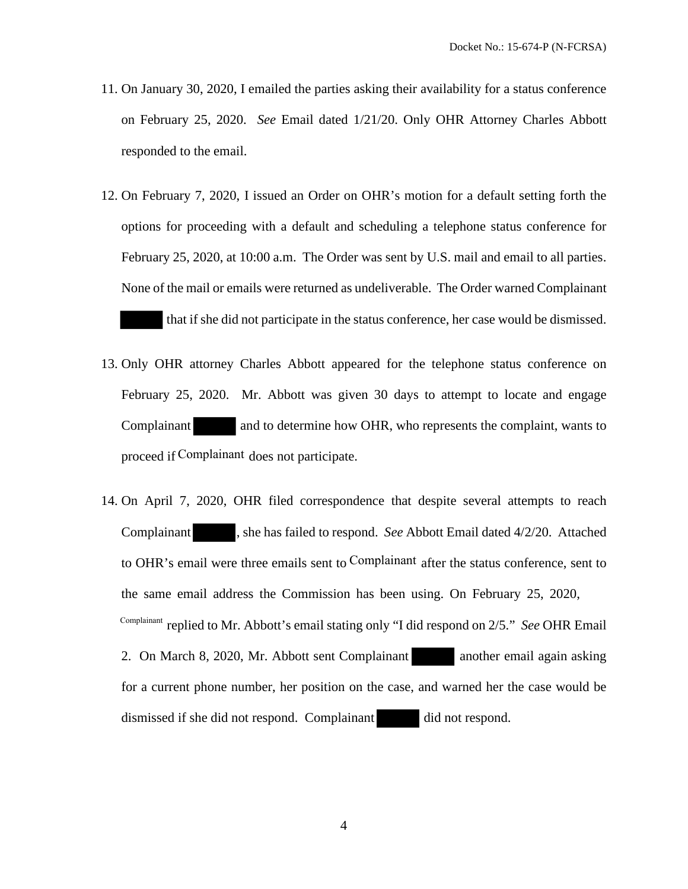- 11. On January 30, 2020, I emailed the parties asking their availability for a status conference on February 25, 2020. *See* Email dated 1/21/20. Only OHR Attorney Charles Abbott responded to the email.
- 12. On February 7, 2020, I issued an Order on OHR's motion for a default setting forth the options for proceeding with a default and scheduling a telephone status conference for February 25, 2020, at 10:00 a.m. The Order was sent by U.S. mail and email to all parties. None of the mail or emails were returned as undeliverable. The Order warned Complainant that if she did not participate in the status conference, her case would be dismissed.
- 13. Only OHR attorney Charles Abbott appeared for the telephone status conference on February 25, 2020. Mr. Abbott was given 30 days to attempt to locate and engage Complainant and to determine how OHR, who represents the complaint, wants to proceed if Complainant does not participate.
- 14. On April 7, 2020, OHR filed correspondence that despite several attempts to reach Complainant , she has failed to respond. *See* Abbott Email dated 4/2/20. Attached to OHR's email were three emails sent to Complainant after the status conference, sent to the same email address the Commission has been using. On February 25, 2020, <sup>Complainant</sup> replied to Mr. Abbott's email stating only "I did respond on 2/5." *See* OHR Email 2. On March 8, 2020, Mr. Abbott sent Complainant another email again asking for a current phone number, her position on the case, and warned her the case would be dismissed if she did not respond. Complainant did not respond.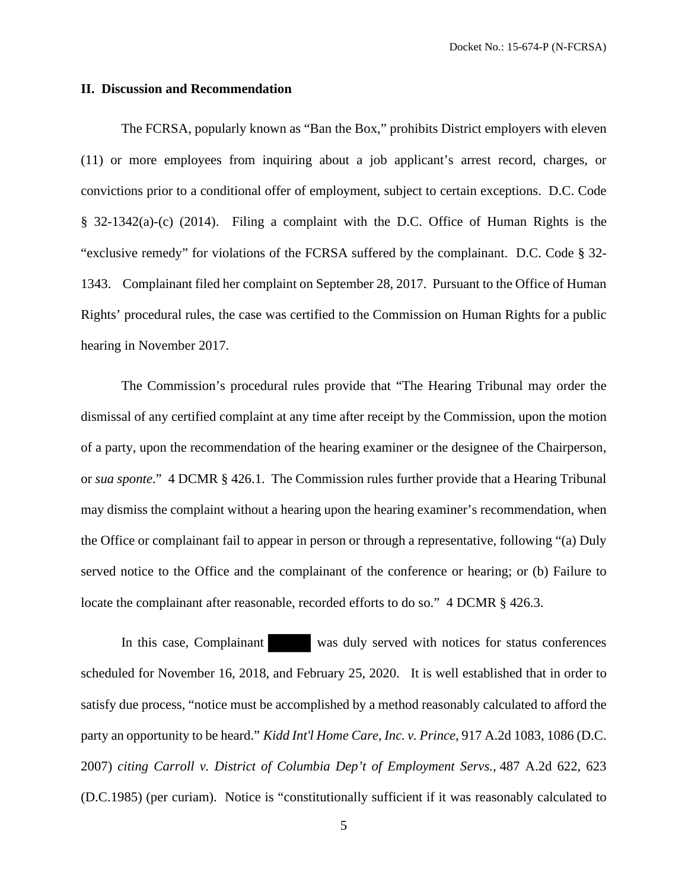#### **II. Discussion and Recommendation**

The FCRSA, popularly known as "Ban the Box," prohibits District employers with eleven (11) or more employees from inquiring about a job applicant's arrest record, charges, or convictions prior to a conditional offer of employment, subject to certain exceptions. D.C. Code § 32-1342(a)-(c) (2014). Filing a complaint with the D.C. Office of Human Rights is the "exclusive remedy" for violations of the FCRSA suffered by the complainant. D.C. Code § 32- 1343. Complainant filed her complaint on September 28, 2017. Pursuant to the Office of Human Rights' procedural rules, the case was certified to the Commission on Human Rights for a public hearing in November 2017.

The Commission's procedural rules provide that "The Hearing Tribunal may order the dismissal of any certified complaint at any time after receipt by the Commission, upon the motion of a party, upon the recommendation of the hearing examiner or the designee of the Chairperson, or *sua sponte*." 4 DCMR § 426.1. The Commission rules further provide that a Hearing Tribunal may dismiss the complaint without a hearing upon the hearing examiner's recommendation, when the Office or complainant fail to appear in person or through a representative, following "(a) Duly served notice to the Office and the complainant of the conference or hearing; or (b) Failure to locate the complainant after reasonable, recorded efforts to do so." 4 DCMR § 426.3.

In this case, Complainant was duly served with notices for status conferences scheduled for November 16, 2018, and February 25, 2020. It is well established that in order to satisfy due process, "notice must be accomplished by a method reasonably calculated to afford the party an opportunity to be heard." *Kidd Int'l Home Care, Inc. v. Prince*, 917 A.2d 1083, 1086 (D.C. 2007) *citing Carroll v. District of Columbia Dep't of Employment Servs.,* 487 A.2d 622, 623 (D.C.1985) (per curiam). Notice is "constitutionally sufficient if it was reasonably calculated to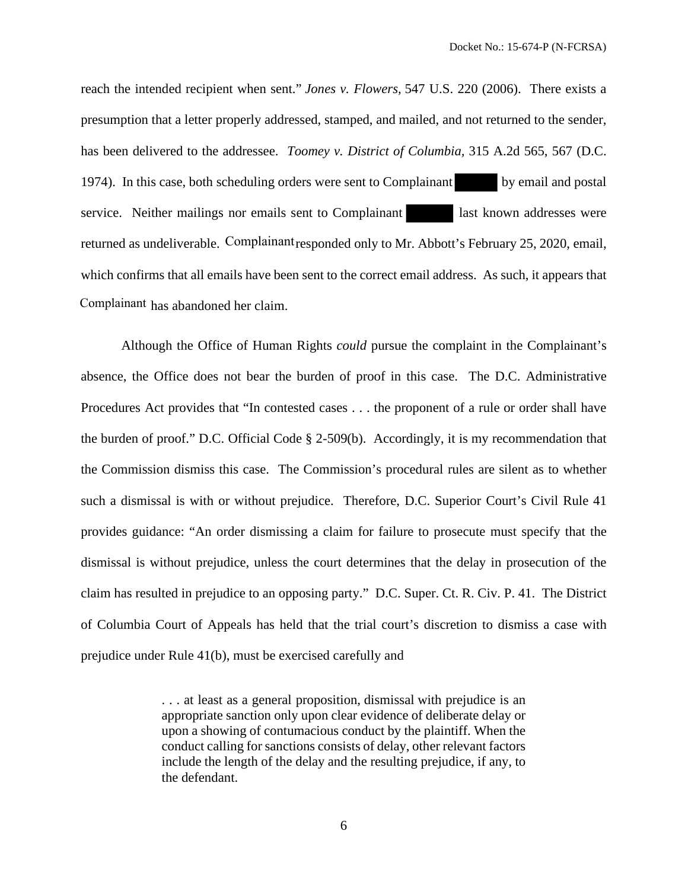reach the intended recipient when sent." *Jones v. Flowers,* 547 U.S. 220 (2006). There exists a presumption that a letter properly addressed, stamped, and mailed, and not returned to the sender, has been delivered to the addressee. *Toomey v. District of Columbia,* 315 A.2d 565, 567 (D.C. 1974). In this case, both scheduling orders were sent to Complainant by email and postal service. Neither mailings nor emails sent to Complainant last known addresses were returned as undeliverable. Complainant responded only to Mr. Abbott's February 25, 2020, email, which confirms that all emails have been sent to the correct email address. As such, it appears that Complainant has abandoned her claim.

Although the Office of Human Rights *could* pursue the complaint in the Complainant's absence, the Office does not bear the burden of proof in this case. The D.C. Administrative Procedures Act provides that "In contested cases . . . the proponent of a rule or order shall have the burden of proof." D.C. Official Code § 2-509(b). Accordingly, it is my recommendation that the Commission dismiss this case. The Commission's procedural rules are silent as to whether such a dismissal is with or without prejudice. Therefore, D.C. Superior Court's Civil Rule 41 provides guidance: "An order dismissing a claim for failure to prosecute must specify that the dismissal is without prejudice, unless the court determines that the delay in prosecution of the claim has resulted in prejudice to an opposing party." D.C. Super. Ct. R. Civ. P. 41. The District of Columbia Court of Appeals has held that the trial court's discretion to dismiss a case with prejudice under Rule 41(b), must be exercised carefully and

> . . . at least as a general proposition, dismissal with prejudice is an appropriate sanction only upon clear evidence of deliberate delay or upon a showing of contumacious conduct by the plaintiff. When the conduct calling for sanctions consists of delay, other relevant factors include the length of the delay and the resulting prejudice, if any, to the defendant.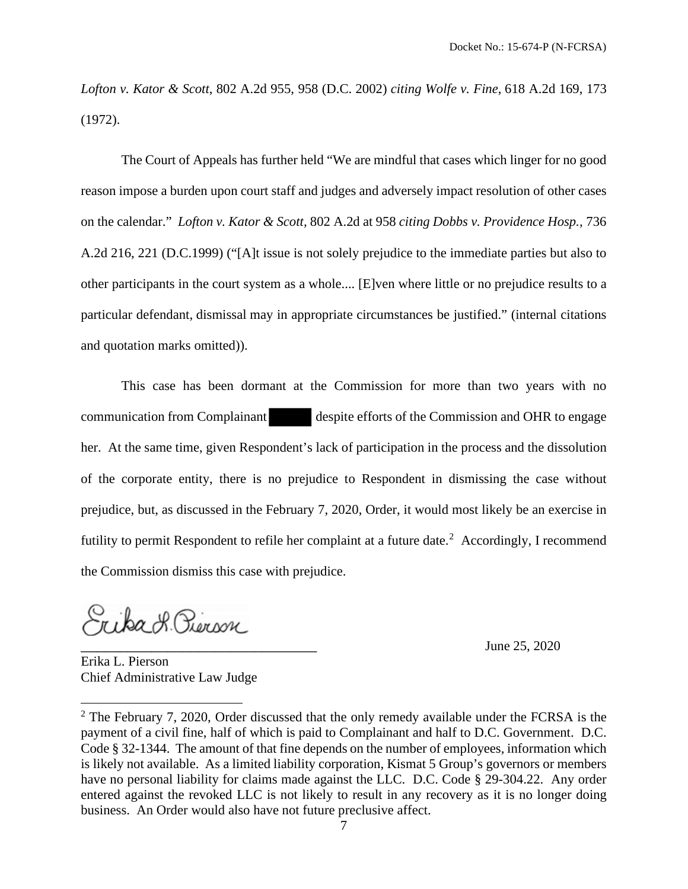*Lofton v. Kator & Scott*, 802 A.2d 955, 958 (D.C. 2002) *citing Wolfe v. Fine,* 618 A.2d 169, 173 (1972).

The Court of Appeals has further held "We are mindful that cases which linger for no good reason impose a burden upon court staff and judges and adversely impact resolution of other cases on the calendar." *Lofton v. Kator & Scott,* 802 A.2d at 958 *citing Dobbs v. Providence Hosp.,* 736 A.2d 216, 221 (D.C.1999) ("[A]t issue is not solely prejudice to the immediate parties but also to other participants in the court system as a whole.... [E]ven where little or no prejudice results to a particular defendant, dismissal may in appropriate circumstances be justified." (internal citations and quotation marks omitted)).

This case has been dormant at the Commission for more than two years with no communication from Complainant despite efforts of the Commission and OHR to engage her. At the same time, given Respondent's lack of participation in the process and the dissolution of the corporate entity, there is no prejudice to Respondent in dismissing the case without prejudice, but, as discussed in the February 7, 2020, Order, it would most likely be an exercise in futility to permit Respondent to refile her complaint at a future date.<sup>2</sup> Accordingly, I recommend the Commission dismiss this case with prejudice.

Suba & Pierson

June 25, 2020

Erika L. Pierson Chief Administrative Law Judge

 $2$  The February 7, 2020, Order discussed that the only remedy available under the FCRSA is the payment of a civil fine, half of which is paid to Complainant and half to D.C. Government. D.C. Code § 32-1344. The amount of that fine depends on the number of employees, information which is likely not available. As a limited liability corporation, Kismat 5 Group's governors or members have no personal liability for claims made against the LLC. D.C. Code § 29-304.22. Any order entered against the revoked LLC is not likely to result in any recovery as it is no longer doing business. An Order would also have not future preclusive affect.